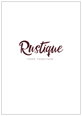

### FOOD TOGETHER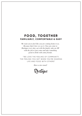## **FOOD, TOGETHER FAMILIARLY, COMFORTABLE & EASY**

*We want you to feel like you are coming home to us. Because that's how we see it. You can come to Rustique every day, eat with the family, take an AW with the job or just come and take something good to drink with some friends.*

"WE LOVE THE FEELING OF COMMUNITY. THE FEELING YOU GET WHEN YOU'RE SHARING LIFE AND FOOD WITH OTHERS"

*Have a nice meal!*

Rustique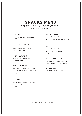# **SNACKS MENU**

SOMETHING SMALL TO START WITH OR MANY SMALL DISHES

#### **COD** 119:-

*Served with salsa verde, pickled fennel salad & avruga caviar.*

#### **STEAK TARTARE** 119:-

*Served with jalapeño mayonnaise, parsnip chips, pickled daikon & coriander- & egg cream.*

#### **TUNA TARTARE** 119:-

*Served with burnt buttercream & sesame biscuits.*

#### **VEG TARTARE** 89 :-

*Smoked tofu tartare served with spruce mayonnaise, lingonberries, herb salad & garlic croutons.* VEGAN

#### **BAO BUN** 99:-

*Filled with pulled pumpkin, fried carrot, fried cale & mojo rojo.* VEGAN

#### **C H A RC U T E R I E**

PRICE OF TODAY

*Today´s charcuterie is served with bread, aioli & marinated olives.*

#### **CHEESES**

PRICE OF TODAY

*Today´s cheeses, served with jam & biscuits*

#### **GARLIC BREAD** 69:-

*Gratinated garlic bread, topped with parmesan cheese & served with aioli.*

**OLIVES** 35:- *Marinated green & black olives.*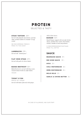## SELECTED & TASTY **PROTEIN**

#### **STEAK TARTARE** 269:-

*Served with jalapeño mayonnaise, parsnip chips, pickled radish & coriander- & egg cream.*

WE RECOMMEND FRENCH FRIES TO THIS DISH!

**LAMBRACKS** 239:- *Served with "minted peas".*

**FLAT IRON STEAK** 219:-

*Served with garlic & chives butter.*

#### **BAKED BEETROOT** 169:-

*Baked beetroot is served with king oyster, roasted tomato broth & confit tomato.* VEGAN

**TODAY´S FISH**

PRICE OF TODAY *Served with butter, flavored with ginger,*  *chili & lime leaves.*

#### **BURGER** 149:-

*Smash burger, topped with avocado & feta cheese, pickled silver onion, beef tomato, whiskey cheddar & herb-mayonnaise.*

VI REKOMMENDERAR RUSTIQUE FRIES TILL DETTA!

### **SAUCE**

**BEARNAISE SAUCE** 39:-

**RED WINE SAUCE** 39:-

**AIOLI** 25:-

**CHILI-MAYONNAISE** 25:-

**HERB-MAYONNAISE** 25:-

**MOJO ROJO** 29:-

**GARLIC & CHIVES BUTTER** 35:-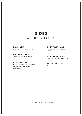## **SIDES**

### THAT LIFTS YOUR EXPERIENCE

**HASH BROWN** 119:- *Fried hash brown with fresh truffles*

**BIMI BROCCOLI** 75:- *Topped with yuzu- & chili butter.*

#### **RUSTIQUE FRIES** 69:-

*French fries topped with fried jalapeño, parmesan dressing & cheddar cheese sauce.*

**ROOT FRUIT SALAD**65:- *With burnt onion & horseradish dressing.*

**CRUSHED POTATOES** 75:- *Topped with duck fat & rosemary salt.*

**FRENCH FRIES** 39:- *Tossed in burnt butter.*